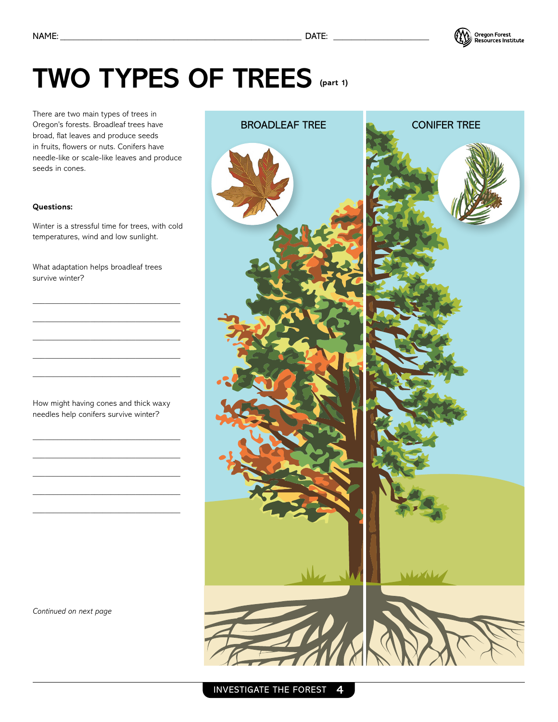

## **TWO TYPES OF TREES (part 1)**

There are two main types of trees in Oregon's forests. Broadleaf trees have broad, flat leaves and produce seeds in fruits, flowers or nuts. Conifers have needle-like or scale-like leaves and produce seeds in cones.

## **Questions:**

Winter is a stressful time for trees, with cold temperatures, wind and low sunlight.

What adaptation helps broadleaf trees survive winter?

\_\_\_\_\_\_\_\_\_\_\_\_\_\_\_\_\_\_\_\_\_\_\_\_\_\_\_\_\_\_\_\_\_\_\_\_ \_\_\_\_\_\_\_\_\_\_\_\_\_\_\_\_\_\_\_\_\_\_\_\_\_\_\_\_\_\_\_\_\_\_\_\_ \_\_\_\_\_\_\_\_\_\_\_\_\_\_\_\_\_\_\_\_\_\_\_\_\_\_\_\_\_\_\_\_\_\_\_\_ \_\_\_\_\_\_\_\_\_\_\_\_\_\_\_\_\_\_\_\_\_\_\_\_\_\_\_\_\_\_\_\_\_\_\_\_ \_\_\_\_\_\_\_\_\_\_\_\_\_\_\_\_\_\_\_\_\_\_\_\_\_\_\_\_\_\_\_\_\_\_\_\_

How might having cones and thick waxy needles help conifers survive winter?

\_\_\_\_\_\_\_\_\_\_\_\_\_\_\_\_\_\_\_\_\_\_\_\_\_\_\_\_\_\_\_\_\_\_\_\_ \_\_\_\_\_\_\_\_\_\_\_\_\_\_\_\_\_\_\_\_\_\_\_\_\_\_\_\_\_\_\_\_\_\_\_\_ \_\_\_\_\_\_\_\_\_\_\_\_\_\_\_\_\_\_\_\_\_\_\_\_\_\_\_\_\_\_\_\_\_\_\_\_ \_\_\_\_\_\_\_\_\_\_\_\_\_\_\_\_\_\_\_\_\_\_\_\_\_\_\_\_\_\_\_\_\_\_\_\_ \_\_\_\_\_\_\_\_\_\_\_\_\_\_\_\_\_\_\_\_\_\_\_\_\_\_\_\_\_\_\_\_\_\_\_\_

*Continued on next page*